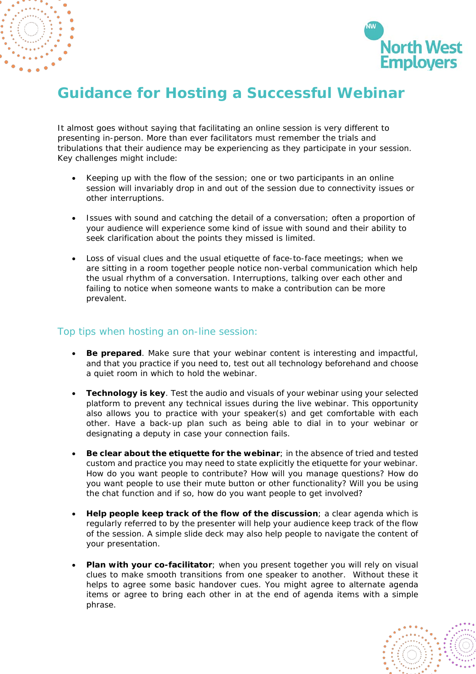



## **Guidance for Hosting a Successful Webinar**

It almost goes without saying that facilitating an online session is very different to presenting in-person. More than ever facilitators must remember the trials and tribulations that their audience may be experiencing as they participate in your session. Key challenges might include:

- Keeping up with the flow of the session; one or two participants in an online session will invariably drop in and out of the session due to connectivity issues or other interruptions.
- Issues with sound and catching the detail of a conversation; often a proportion of your audience will experience some kind of issue with sound and their ability to seek clarification about the points they missed is limited.
- Loss of visual clues and the usual etiquette of face-to-face meetings; when we are sitting in a room together people notice non-verbal communication which help the usual rhythm of a conversation. Interruptions, talking over each other and failing to notice when someone wants to make a contribution can be more prevalent.

## Top tips when hosting an on-line session:

- **Be prepared**. Make sure that your webinar content is interesting and impactful, and that you practice if you need to, test out all technology beforehand and choose a quiet room in which to hold the webinar.
- **Technology is key**. Test the audio and visuals of your webinar using your selected platform to prevent any technical issues during the live webinar. This opportunity also allows you to practice with your speaker(s) and get comfortable with each other. Have a back-up plan such as being able to dial in to your webinar or designating a deputy in case your connection fails.
- **Be clear about the etiquette for the webinar**; in the absence of tried and tested custom and practice you may need to state explicitly the etiquette for your webinar. How do you want people to contribute? How will you manage questions? How do you want people to use their mute button or other functionality? Will you be using the chat function and if so, how do you want people to get involved?
- **Help people keep track of the flow of the discussion**; a clear agenda which is regularly referred to by the presenter will help your audience keep track of the flow of the session. A simple slide deck may also help people to navigate the content of your presentation.
- **Plan with your co-facilitator**; when you present together you will rely on visual clues to make smooth transitions from one speaker to another. Without these it helps to agree some basic handover cues. You might agree to alternate agenda items or agree to bring each other in at the end of agenda items with a simple phrase.

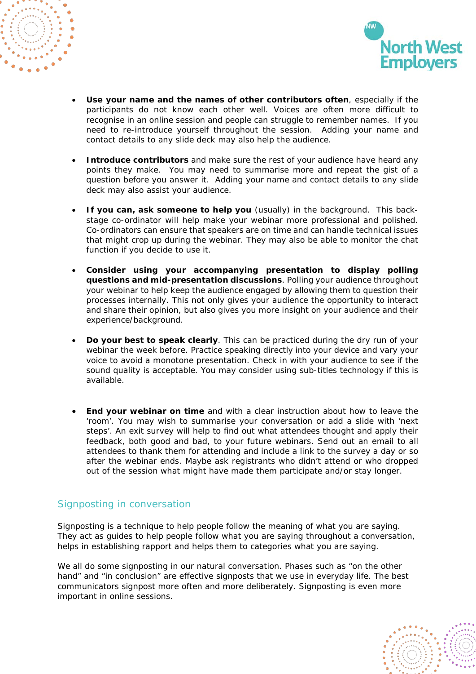



- **Use your name and the names of other contributors often**, especially if the participants do not know each other well. Voices are often more difficult to recognise in an online session and people can struggle to remember names. If you need to re-introduce yourself throughout the session. Adding your name and contact details to any slide deck may also help the audience.
- **Introduce contributors** and make sure the rest of your audience have heard any points they make. You may need to summarise more and repeat the gist of a question before you answer it. Adding your name and contact details to any slide deck may also assist your audience.
- **If you can, ask someone to help you** (usually) in the background. This backstage co-ordinator will help make your webinar more professional and polished. Co-ordinators can ensure that speakers are on time and can handle technical issues that might crop up during the webinar. They may also be able to monitor the chat function if you decide to use it.
- **Consider using your accompanying presentation to display polling questions and mid-presentation discussions**. Polling your audience throughout your webinar to help keep the audience engaged by allowing them to question their processes internally. This not only gives your audience the opportunity to interact and share their opinion, but also gives you more insight on your audience and their experience/background.
- **Do your best to speak clearly**. This can be practiced during the dry run of your webinar the week before. Practice speaking directly into your device and vary your voice to avoid a monotone presentation. Check in with your audience to see if the sound quality is acceptable. You may consider using sub-titles technology if this is available.
- **End your webinar on time** and with a clear instruction about how to leave the 'room'. You may wish to summarise your conversation or add a slide with 'next steps'. An exit survey will help to find out what attendees thought and apply their feedback, both good and bad, to your future webinars. Send out an email to all attendees to thank them for attending and include a link to the survey a day or so after the webinar ends. Maybe ask registrants who didn't attend or who dropped out of the session what might have made them participate and/or stay longer.

## Signposting in conversation

Signposting is a technique to help people follow the meaning of what you are saying. They act as guides to help people follow what you are saying throughout a conversation, helps in establishing rapport and helps them to categories what you are saying.

We all do some signposting in our natural conversation. Phases such as "on the other hand" and "in conclusion" are effective signposts that we use in everyday life. The best communicators signpost more often and more deliberately. Signposting is even more important in online sessions.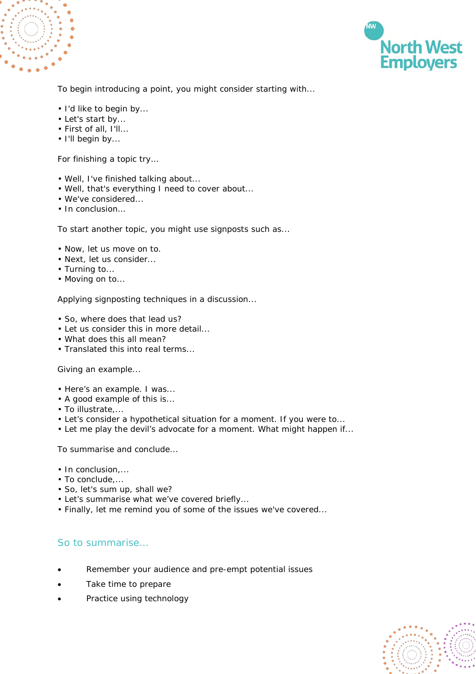



To begin introducing a point, you might consider starting with...

- I'd like to begin by...
- Let's start by...
- First of all, I'll...
- I'll begin by...

For finishing a topic try…

- Well, I've finished talking about...
- Well, that's everything I need to cover about...
- We've considered...
- In conclusion…

To start another topic, you might use signposts such as...

- Now, let us move on to.
- Next, let us consider...
- Turning to...
- Moving on to...

Applying signposting techniques in a discussion...

- So, where does that lead us?
- Let us consider this in more detail...
- What does this all mean?
- Translated this into real terms...

Giving an example...

- Here's an example. I was...
- A good example of this is...
- To illustrate,...
- Let's consider a hypothetical situation for a moment. If you were to...
- Let me play the devil's advocate for a moment. What might happen if...

To summarise and conclude...

- In conclusion....
- To conclude,...
- So, let's sum up, shall we?
- Let's summarise what we've covered briefly...
- Finally, let me remind you of some of the issues we've covered...

## So to summarise…

- Remember your audience and pre-empt potential issues
- Take time to prepare
- Practice using technology